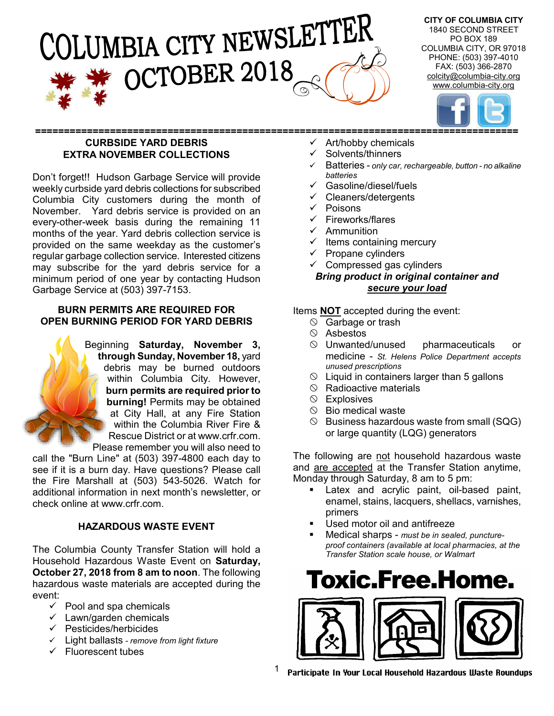# )LUMBIA CITY NEWSLETTER OCTOBER 2018

**CITY OF COLUMBIA CITY** 1840 SECOND STREET PO BOX 189 COLUMBIA CITY, OR 97018 PHONE: (503) 397-4010 FAX: (503) 366-2870 colcity@columbia-city.org www.columbia-city.org



#### **==================================================================================== CURBSIDE YARD DEBRIS EXTRA NOVEMBER COLLECTIONS**

Don't forget!! Hudson Garbage Service will provide weekly curbside yard debris collections for subscribed Columbia City customers during the month of November. Yard debris service is provided on an every-other-week basis during the remaining 11 months of the year. Yard debris collection service is provided on the same weekday as the customer's regular garbage collection service. Interested citizens may subscribe for the yard debris service for a minimum period of one year by contacting Hudson Garbage Service at (503) 397-7153.

#### **BURN PERMITS ARE REQUIRED FOR OPEN BURNING PERIOD FOR YARD DEBRIS**

Beginning **Saturday, November 3, through Sunday, November 18,** yard debris may be burned outdoors within Columbia City. However, **burn permits are required prior to burning!** Permits may be obtained at City Hall, at any Fire Station within the Columbia River Fire & Rescue District or at www.crfr.com. Please remember you will also need to

call the "Burn Line" at (503) 397-4800 each day to see if it is a burn day. Have questions? Please call the Fire Marshall at (503) 543-5026. Watch for additional information in next month's newsletter, or check online at www.crfr.com.

#### **HAZARDOUS WASTE EVENT**

The Columbia County Transfer Station will hold a Household Hazardous Waste Event on **Saturday, October 27, 2018 from 8 am to noon**. The following hazardous waste materials are accepted during the event:

- $\checkmark$  Pool and spa chemicals
- $\checkmark$  Lawn/garden chemicals
- $\checkmark$  Pesticides/herbicides
- Light ballasts *- remove from light fixture*
- $\checkmark$  Fluorescent tubes
- Art/hobby chemicals
- Solvents/thinners
- Batteries *only car, rechargeable, button - no alkaline batteries*
- Gasoline/diesel/fuels
- $\checkmark$  Cleaners/detergents
- $\sqrt{Poisons}$
- $\checkmark$  Fireworks/flares
- $\checkmark$  Ammunition
- $\checkmark$  Items containing mercury
- $\checkmark$  Propane cylinders
- $\checkmark$  Compressed gas cylinders

#### *Bring product in original container and secure your load*

Items **NOT** accepted during the event:

- $\circ$  Garbage or trash
- $\circ$  Asbestos
- $\heartsuit$  Unwanted/unused pharmaceuticals or medicine - *St. Helens Police Department accepts unused prescriptions*
- $\circledcirc$  Liquid in containers larger than 5 gallons
- $\circledcirc$  Radioactive materials
- $\circledcirc$  Explosives
- $\circledcirc$  Bio medical waste
- $\circledcirc$  Business hazardous waste from small (SQG) or large quantity (LQG) generators

The following are not household hazardous waste and are accepted at the Transfer Station anytime, Monday through Saturday, 8 am to 5 pm:

- **EXEC** Latex and acrylic paint, oil-based paint, enamel, stains, lacquers, shellacs, varnishes, primers
- Used motor oil and antifreeze
- Medical sharps *must be in sealed, punctureproof containers (available at local pharmacies, at the Transfer Station scale house, or Walmart*



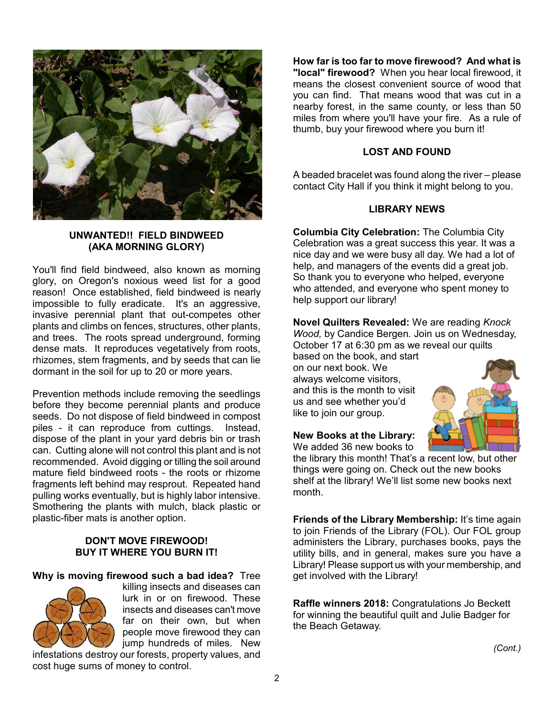

#### **UNWANTED!! FIELD BINDWEED (AKA MORNING GLORY)**

You'll find field bindweed, also known as morning glory, on Oregon's noxious weed list for a good reason! Once established, field bindweed is nearly impossible to fully eradicate. It's an aggressive, invasive perennial plant that out-competes other plants and climbs on fences, structures, other plants, and trees. The roots spread underground, forming dense mats. It reproduces vegetatively from roots, rhizomes, stem fragments, and by seeds that can lie dormant in the soil for up to 20 or more years.

Prevention methods include removing the seedlings before they become perennial plants and produce seeds. Do not dispose of field bindweed in compost piles - it can reproduce from cuttings. Instead, dispose of the plant in your yard debris bin or trash can. Cutting alone will not control this plant and is not recommended. Avoid digging or tilling the soil around mature field bindweed roots - the roots or rhizome fragments left behind may resprout. Repeated hand pulling works eventually, but is highly labor intensive. Smothering the plants with mulch, black plastic or plastic-fiber mats is another option.

#### **DON'T MOVE FIREWOOD! BUY IT WHERE YOU BURN IT!**

#### **Why is moving firewood such a bad idea?** Tree



killing insects and diseases can lurk in or on firewood. These insects and diseases can't move far on their own, but when people move firewood they can jump hundreds of miles. New

infestations destroy our forests, property values, and cost huge sums of money to control.

**How far is too far to move firewood? And what is "local" firewood?** When you hear local firewood, it means the closest convenient source of wood that you can find. That means wood that was cut in a nearby forest, in the same county, or less than 50 miles from where you'll have your fire. As a rule of thumb, buy your firewood where you burn it!

#### **LOST AND FOUND**

A beaded bracelet was found along the river – please contact City Hall if you think it might belong to you.

#### **LIBRARY NEWS**

**Columbia City Celebration:** The Columbia City Celebration was a great success this year. It was a nice day and we were busy all day. We had a lot of help, and managers of the events did a great job. So thank you to everyone who helped, everyone who attended, and everyone who spent money to help support our library!

**Novel Quilters Revealed:** We are reading *Knock Wood,* by Candice Bergen*.* Join us on Wednesday, October 17 at 6:30 pm as we reveal our quilts

based on the book, and start on our next book. We always welcome visitors, and this is the month to visit us and see whether you'd like to join our group.

#### **New Books at the Library:**

We added 36 new books to the library this month! That's a recent low, but other things were going on. Check out the new books shelf at the library! We'll list some new books next month.

**Friends of the Library Membership:** It's time again to join Friends of the Library (FOL). Our FOL group administers the Library, purchases books, pays the utility bills, and in general, makes sure you have a Library! Please support us with your membership, and get involved with the Library!

**Raffle winners 2018:** Congratulations Jo Beckett for winning the beautiful quilt and Julie Badger for the Beach Getaway.

*(Cont.)*

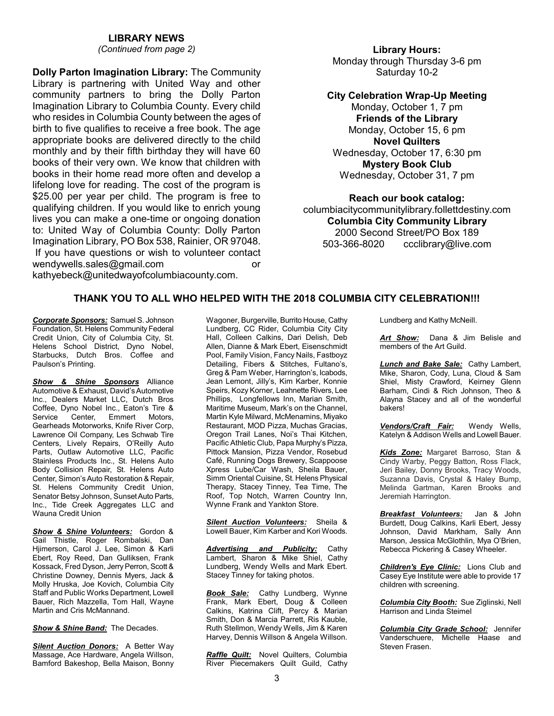#### **LIBRARY NEWS**

*(Continued from page 2)*

**Dolly Parton Imagination Library:** The Community Library is partnering with United Way and other community partners to bring the Dolly Parton Imagination Library to Columbia County. Every child who resides in Columbia County between the ages of birth to five qualifies to receive a free book. The age appropriate books are delivered directly to the child monthly and by their fifth birthday they will have 60 books of their very own. We know that children with books in their home read more often and develop a lifelong love for reading. The cost of the program is \$25.00 per year per child. The program is free to qualifying children. If you would like to enrich young lives you can make a one-time or ongoing donation to: United Way of Columbia County: Dolly Parton Imagination Library, PO Box 538, Rainier, OR 97048. If you have questions or wish to volunteer contact wendywells.sales@gmail.com or kathyebeck@unitedwayofcolumbiacounty.com.

#### **Library Hours:** Monday through Thursday 3-6 pm Saturday 10-2

#### **City Celebration Wrap-Up Meeting**

Monday, October 1, 7 pm **Friends of the Library** Monday, October 15, 6 pm **Novel Quilters** Wednesday, October 17, 6:30 pm **Mystery Book Club** Wednesday, October 31, 7 pm

**Reach our book catalog:** columbiacitycommunitylibrary.follettdestiny.com **Columbia City Community Library** 2000 Second Street/PO Box 189 503-366-8020 ccclibrary@live.com

#### **THANK YOU TO ALL WHO HELPED WITH THE 2018 COLUMBIA CITY CELEBRATION!!!**

*Corporate Sponsors:* Samuel S. Johnson Foundation, St. Helens Community Federal Credit Union, City of Columbia City, St. Helens School District, Dyno Nobel, Starbucks, Dutch Bros. Coffee and Paulson's Printing.

*Show & Shine Sponsors* Alliance Automotive & Exhaust, David's Automotive Inc., Dealers Market LLC, Dutch Bros Coffee, Dyno Nobel Inc., Eaton's Tire & Service Center, Emmert Motors, Gearheads Motorworks, Knife River Corp, Lawrence Oil Company, Les Schwab Tire Centers, Lively Repairs, O'Reilly Auto Parts, Outlaw Automotive LLC, Pacific Stainless Products Inc., St. Helens Auto Body Collision Repair, St. Helens Auto Center, Simon's Auto Restoration & Repair, St. Helens Community Credit Union, Senator Betsy Johnson, Sunset Auto Parts, Inc., Tide Creek Aggregates LLC and Wauna Credit Union

*Show & Shine Volunteers:* Gordon & Gail Thistle, Roger Rombalski, Dan Hiimerson, Carol J. Lee, Simon & Karli Ebert, Roy Reed, Dan Gulliksen, Frank Kossack, Fred Dyson, Jerry Perron, Scott & Christine Downey, Dennis Myers, Jack & Molly Hruska, Joe Kovich, Columbia City Staff and Public Works Department, Lowell Bauer, Rich Mazzella, Tom Hall, Wayne Martin and Cris McMannand.

**Show & Shine Band:** The Decades.

*Silent Auction Donors:* A Better Way Massage, Ace Hardware, Angela Willson, Bamford Bakeshop, Bella Maison, Bonny

Wagoner, Burgerville, Burrito House, Cathy Lundberg, CC Rider, Columbia City City Hall, Colleen Calkins, Dari Delish, Deb Allen, Dianne & Mark Ebert, Eisenschmidt Pool, Family Vision, Fancy Nails, Fastboyz Detailing, Fibers & Stitches, Fultano's, Greg & Pam Weber, Harrington's, Icabods, Jean Lemont, Jilly's, Kim Karber, Konnie Speirs, Kozy Korner, Leahnette Rivers, Lee Phillips, Longfellows Inn, Marian Smith, Maritime Museum, Mark's on the Channel, Martin Kyle Milward, McMenamins, Miyako Restaurant, MOD Pizza, Muchas Gracias, Oregon Trail Lanes, Noi's Thai Kitchen, Pacific Athletic Club, Papa Murphy's Pizza, Pittock Mansion, Pizza Vendor, Rosebud Café, Running Dogs Brewery, Scappoose Xpress Lube/Car Wash, Sheila Bauer, Simm Oriental Cuisine, St. Helens Physical Therapy, Stacey Tinney, Tea Time, The Roof, Top Notch, Warren Country Inn, Wynne Frank and Yankton Store.

*Silent Auction Volunteers:* Sheila & Lowell Bauer, Kim Karber and Kori Woods.

*Advertising and Publicity:* Cathy Lambert, Sharon & Mike Shiel, Cathy Lundberg, Wendy Wells and Mark Ebert. Stacey Tinney for taking photos.

*Book Sale:* Cathy Lundberg, Wynne Frank, Mark Ebert, Doug & Colleen Calkins, Katrina Clift, Percy & Marian Smith, Don & Marcia Parrett, Ris Kauble, Ruth Stellmon, Wendy Wells, Jim & Karen Harvey, Dennis Willson & Angela Willson.

*Raffle Quilt:* Novel Quilters, Columbia River Piecemakers Quilt Guild, Cathy Lundberg and Kathy McNeill.

*Art Show:* Dana & Jim Belisle and members of the Art Guild.

*Lunch and Bake Sale:* Cathy Lambert, Mike, Sharon, Cody, Luna, Cloud & Sam Shiel, Misty Crawford, Keirney Glenn Barham, Cindi & Rich Johnson, Theo & Alayna Stacey and all of the wonderful bakers!

*Vendors/Craft Fair:* Wendy Wells, Katelyn & Addison Wells and Lowell Bauer.

*Kids Zone:* Margaret Barroso, Stan & Cindy Warby, Peggy Batton, Ross Flack, Jeri Bailey, Donny Brooks, Tracy Woods, Suzanna Davis, Crystal & Haley Bump, Melinda Gartman, Karen Brooks and Jeremiah Harrington.

*Breakfast Volunteers:*Jan & John Burdett, Doug Calkins, Karli Ebert, Jessy Johnson, David Markham, Sally Ann Marson, Jessica McGlothlin, Mya O'Brien, Rebecca Pickering & Casey Wheeler.

*Children's Eye Clinic:* Lions Club and Casey Eye Institute were able to provide 17 children with screening.

*Columbia City Booth:* Sue Ziglinski, Nell Harrison and Linda Steimel

*Columbia City Grade School:* Jennifer Vanderschuere, Michelle Haase and Steven Frasen.